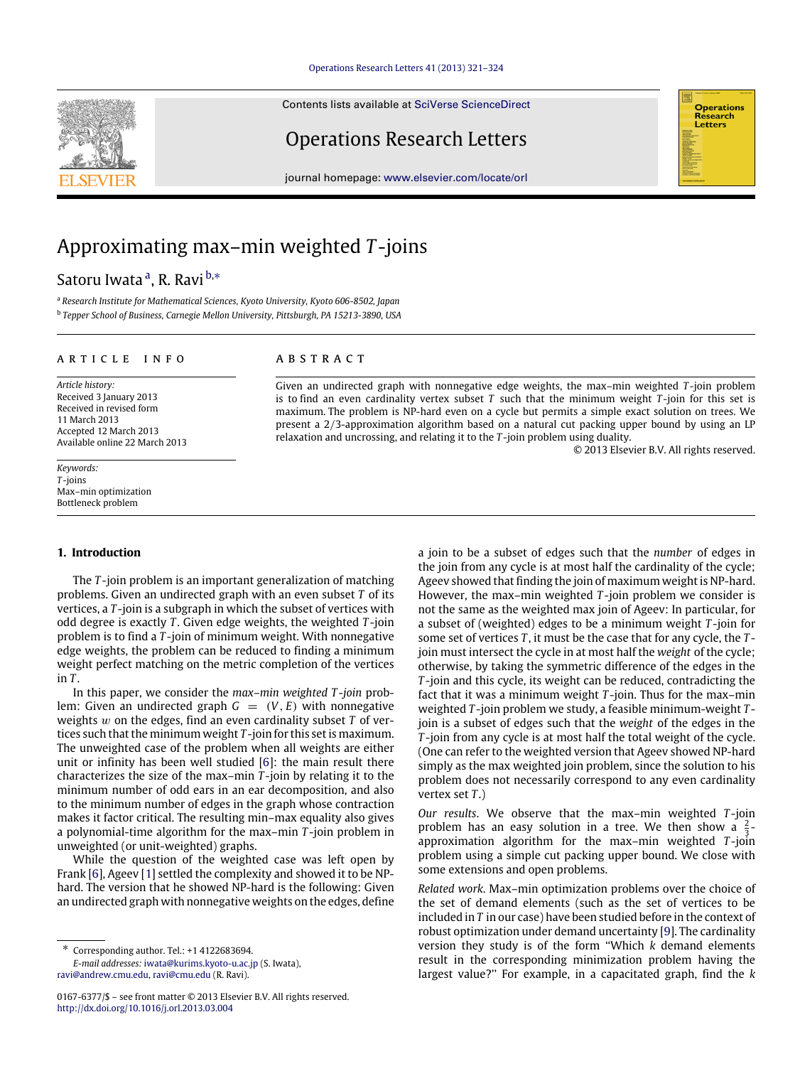### [Operations Research Letters 41 \(2013\) 321–324](http://dx.doi.org/10.1016/j.orl.2013.03.004)

Contents lists available at [SciVerse ScienceDirect](http://www.elsevier.com/locate/orl)

# Operations Research Letters

journal homepage: [www.elsevier.com/locate/orl](http://www.elsevier.com/locate/orl)

# Approximating max–min weighted *T* -joins

## S[a](#page-0-0)toru Iwata <sup>a</sup>, R. Ravi <sup>[b,](#page-0-1)</sup>\*

<span id="page-0-1"></span><span id="page-0-0"></span><sup>a</sup> *Research Institute for Mathematical Sciences, Kyoto University, Kyoto 606-8502, Japan* b *Tepper School of Business, Carnegie Mellon University, Pittsburgh, PA 15213-3890, USA*

### ARTICLE INFO

*Article history:* Received 3 January 2013 Received in revised form 11 March 2013 Accepted 12 March 2013 Available online 22 March 2013

*Keywords: T* -joins Max–min optimization Bottleneck problem

### **1. Introduction**

The *T* -join problem is an important generalization of matching problems. Given an undirected graph with an even subset *T* of its vertices, a *T* -join is a subgraph in which the subset of vertices with odd degree is exactly *T* . Given edge weights, the weighted *T* -join problem is to find a *T* -join of minimum weight. With nonnegative edge weights, the problem can be reduced to finding a minimum weight perfect matching on the metric completion of the vertices in *T* .

In this paper, we consider the *max–min weighted T* -*join* problem: Given an undirected graph  $G = (V, E)$  with nonnegative weights w on the edges, find an even cardinality subset *T* of vertices such that the minimum weight *T* -join for this set is maximum. The unweighted case of the problem when all weights are either unit or infinity has been well studied [\[6\]](#page-3-0): the main result there characterizes the size of the max–min *T* -join by relating it to the minimum number of odd ears in an ear decomposition, and also to the minimum number of edges in the graph whose contraction makes it factor critical. The resulting min–max equality also gives a polynomial-time algorithm for the max–min *T* -join problem in unweighted (or unit-weighted) graphs.

While the question of the weighted case was left open by Frank [\[6\]](#page-3-0), Ageev [\[1\]](#page-3-1) settled the complexity and showed it to be NPhard. The version that he showed NP-hard is the following: Given an undirected graph with nonnegative weights on the edges, define

*E-mail addresses:* [iwata@kurims.kyoto-u.ac.jp](mailto:iwata@kurims.kyoto-u.ac.jp) (S. Iwata), [ravi@andrew.cmu.edu,](mailto:ravi@andrew.cmu.edu) [ravi@cmu.edu](mailto:ravi@cmu.edu) (R. Ravi).

### A B S T R A C T

Given an undirected graph with nonnegative edge weights, the max–min weighted *T* -join problem is to find an even cardinality vertex subset *T* such that the minimum weight *T* -join for this set is maximum. The problem is NP-hard even on a cycle but permits a simple exact solution on trees. We present a 2/3-approximation algorithm based on a natural cut packing upper bound by using an LP relaxation and uncrossing, and relating it to the *T* -join problem using duality.

© 2013 Elsevier B.V. All rights reserved.

**Operations** Research Letters

a join to be a subset of edges such that the *number* of edges in the join from any cycle is at most half the cardinality of the cycle; Ageev showed that finding the join of maximum weight is NP-hard. However, the max–min weighted *T* -join problem we consider is not the same as the weighted max join of Ageev: In particular, for a subset of (weighted) edges to be a minimum weight *T* -join for some set of vertices *T* , it must be the case that for any cycle, the *T* join must intersect the cycle in at most half the *weight* of the cycle; otherwise, by taking the symmetric difference of the edges in the *T* -join and this cycle, its weight can be reduced, contradicting the fact that it was a minimum weight *T* -join. Thus for the max–min weighted *T* -join problem we study, a feasible minimum-weight *T* join is a subset of edges such that the *weight* of the edges in the *T* -join from any cycle is at most half the total weight of the cycle. (One can refer to the weighted version that Ageev showed NP-hard simply as the max weighted join problem, since the solution to his problem does not necessarily correspond to any even cardinality vertex set *T* .)

*Our results*. We observe that the max–min weighted *T* -join problem has an easy solution in a tree. We then show a  $\frac{2}{3}$ approximation algorithm for the max–min weighted *T* -join problem using a simple cut packing upper bound. We close with some extensions and open problems.

*Related work*. Max–min optimization problems over the choice of the set of demand elements (such as the set of vertices to be included in *T* in our case) have been studied before in the context of robust optimization under demand uncertainty [\[9\]](#page-3-2). The cardinality version they study is of the form ''Which *k* demand elements result in the corresponding minimization problem having the largest value?'' For example, in a capacitated graph, find the *k*



<span id="page-0-2"></span><sup>∗</sup> Corresponding author. Tel.: +1 4122683694.

<sup>0167-6377/\$ –</sup> see front matter © 2013 Elsevier B.V. All rights reserved. <http://dx.doi.org/10.1016/j.orl.2013.03.004>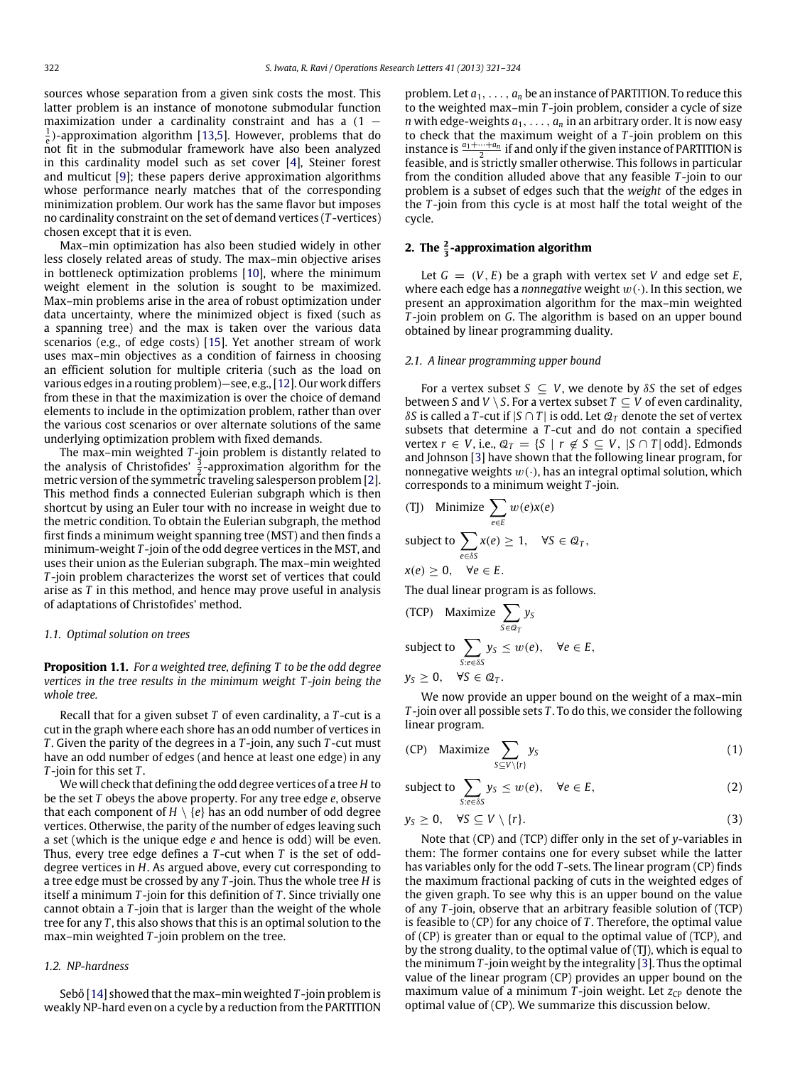sources whose separation from a given sink costs the most. This latter problem is an instance of monotone submodular function maximization under a cardinality constraint and has a  $(1 \frac{1}{e}$ )-approximation algorithm [\[13,](#page-3-3)[5\]](#page-3-4). However, problems that do not fit in the submodular framework have also been analyzed in this cardinality model such as set cover [\[4\]](#page-3-5), Steiner forest and multicut [\[9\]](#page-3-2); these papers derive approximation algorithms whose performance nearly matches that of the corresponding minimization problem. Our work has the same flavor but imposes no cardinality constraint on the set of demand vertices (*T* -vertices) chosen except that it is even.

Max–min optimization has also been studied widely in other less closely related areas of study. The max–min objective arises in bottleneck optimization problems [\[10\]](#page-3-6), where the minimum weight element in the solution is sought to be maximized. Max–min problems arise in the area of robust optimization under data uncertainty, where the minimized object is fixed (such as a spanning tree) and the max is taken over the various data scenarios (e.g., of edge costs) [\[15\]](#page-3-7). Yet another stream of work uses max–min objectives as a condition of fairness in choosing an efficient solution for multiple criteria (such as the load on various edges in a routing problem)—see, e.g., [\[12\]](#page-3-8). Our work differs from these in that the maximization is over the choice of demand elements to include in the optimization problem, rather than over the various cost scenarios or over alternate solutions of the same underlying optimization problem with fixed demands.

The max–min weighted *T* -join problem is distantly related to the analysis of Christofides'  $\frac{3}{2}$ -approximation algorithm for the metric version of the symmetric traveling salesperson problem [\[2\]](#page-3-9). This method finds a connected Eulerian subgraph which is then shortcut by using an Euler tour with no increase in weight due to the metric condition. To obtain the Eulerian subgraph, the method first finds a minimum weight spanning tree (MST) and then finds a minimum-weight *T* -join of the odd degree vertices in the MST, and uses their union as the Eulerian subgraph. The max–min weighted *T* -join problem characterizes the worst set of vertices that could arise as *T* in this method, and hence may prove useful in analysis of adaptations of Christofides' method.

### *1.1. Optimal solution on trees*

**Proposition 1.1.** *For a weighted tree, defining T to be the odd degree vertices in the tree results in the minimum weight T -join being the whole tree.*

Recall that for a given subset *T* of even cardinality, a *T* -cut is a cut in the graph where each shore has an odd number of vertices in *T* . Given the parity of the degrees in a *T* -join, any such *T* -cut must have an odd number of edges (and hence at least one edge) in any *T* -join for this set *T* .

We will check that defining the odd degree vertices of a tree *H* to be the set *T* obeys the above property. For any tree edge *e*, observe that each component of  $H \setminus \{e\}$  has an odd number of odd degree vertices. Otherwise, the parity of the number of edges leaving such a set (which is the unique edge *e* and hence is odd) will be even. Thus, every tree edge defines a *T* -cut when *T* is the set of odddegree vertices in *H*. As argued above, every cut corresponding to a tree edge must be crossed by any *T* -join. Thus the whole tree *H* is itself a minimum *T* -join for this definition of *T* . Since trivially one cannot obtain a *T* -join that is larger than the weight of the whole tree for any *T* , this also shows that this is an optimal solution to the max–min weighted *T* -join problem on the tree.

### *1.2. NP-hardness*

Sebő [\[14\]](#page-3-10) showed that the max–min weighted *T* -join problem is weakly NP-hard even on a cycle by a reduction from the PARTITION problem. Let  $a_1, \ldots, a_n$  be an instance of PARTITION. To reduce this to the weighted max–min *T* -join problem, consider a cycle of size *n* with edge-weights  $a_1, \ldots, a_n$  in an arbitrary order. It is now easy to check that the maximum weight of a *T* -join problem on this instance is  $\frac{a_1 + \cdots + a_n}{2}$  if and only if the given instance of PARTITION is feasible, and is strictly smaller otherwise. This follows in particular from the condition alluded above that any feasible *T* -join to our problem is a subset of edges such that the *weight* of the edges in the *T* -join from this cycle is at most half the total weight of the cycle.

### **2. The <sup>2</sup> 3 -approximation algorithm**

Let  $G = (V, E)$  be a graph with vertex set *V* and edge set *E*, where each edge has a *nonnegative* weight  $w(\cdot)$ . In this section, we present an approximation algorithm for the max–min weighted *T* -join problem on *G*. The algorithm is based on an upper bound obtained by linear programming duality.

### *2.1. A linear programming upper bound*

For a vertex subset  $S \subseteq V$ , we denote by  $\delta S$  the set of edges between *S* and *V* \ *S*. For a vertex subset  $T \subset V$  of even cardinality,  $δS$  is called a *T*-cut if  $|S ∩ T|$  is odd. Let  $Q_T$  denote the set of vertex subsets that determine a *T* -cut and do not contain a specified vertex  $r \in V$ , i.e.,  $Q_T = \{S \mid r \notin S \subseteq V, |S \cap T| \text{ odd}\}\$ . Edmonds and Johnson [\[3\]](#page-3-11) have shown that the following linear program, for nonnegative weights  $w(\cdot)$ , has an integral optimal solution, which corresponds to a minimum weight *T* -join.

(TJ) Minimize 
$$
\sum_{e \in E} w(e)x(e)
$$
  
subject to  $\sum_{e \in \delta S} x(e) \ge 1$ ,  $\forall S \in \mathcal{Q}_T$ ,  
 $x(e) \ge 0$ ,  $\forall e \in E$ .

The dual linear program is as follows.

(TCP) Maximize 
$$
\sum_{S \in \mathcal{Q}_T} y_S
$$
  
subject to  $\sum_{S: e \in \delta S} y_S \leq w(e)$ ,  $\forall e \in E$ ,  
 $y_S \geq 0$ ,  $\forall S \in \mathcal{Q}_T$ .

We now provide an upper bound on the weight of a max–min *T* -join over all possible sets *T* . To do this, we consider the following linear program.

(CP) Maximize 
$$
\sum_{S \subseteq V \setminus \{r\}} y_S
$$
 (1)

<span id="page-1-0"></span>subject to 
$$
\sum_{S: e \in \delta S} y_S \leq w(e), \quad \forall e \in E,
$$
 (2)

$$
y_S \geq 0, \quad \forall S \subseteq V \setminus \{r\}.\tag{3}
$$

Note that (CP) and (TCP) differ only in the set of *y*-variables in them: The former contains one for every subset while the latter has variables only for the odd *T* -sets. The linear program (CP) finds the maximum fractional packing of cuts in the weighted edges of the given graph. To see why this is an upper bound on the value of any *T* -join, observe that an arbitrary feasible solution of (TCP) is feasible to (CP) for any choice of *T* . Therefore, the optimal value of (CP) is greater than or equal to the optimal value of (TCP), and by the strong duality, to the optimal value of (TJ), which is equal to the minimum *T* -join weight by the integrality [\[3\]](#page-3-11). Thus the optimal value of the linear program (CP) provides an upper bound on the maximum value of a minimum  $T$ -join weight. Let  $z_{CP}$  denote the optimal value of (CP). We summarize this discussion below.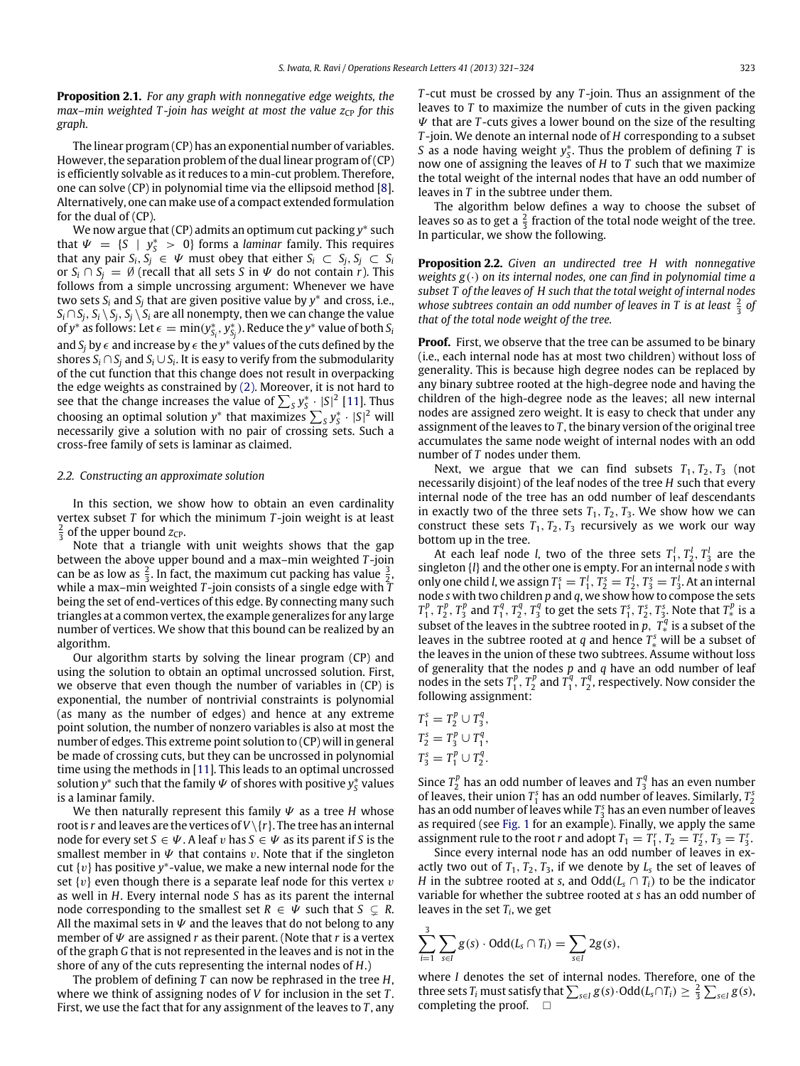<span id="page-2-1"></span>**Proposition 2.1.** *For any graph with nonnegative edge weights, the max–min weighted T-join has weight at most the value z<sub>CP</sub> for this graph.*

The linear program (CP) has an exponential number of variables. However, the separation problem of the dual linear program of (CP) is efficiently solvable as it reduces to a min-cut problem. Therefore, one can solve (CP) in polynomial time via the ellipsoid method [\[8\]](#page-3-12). Alternatively, one can make use of a compact extended formulation for the dual of (CP).

We now argue that (CP) admits an optimum cut packing *y* ∗ such that  $\Psi = \{S \mid y_S^* > 0\}$  forms a *laminar* family. This requires that any pair  $S_i$ ,  $S_j \in \Psi$  must obey that either  $S_i \subset S_j$ ,  $S_j \subset S_i$ or  $S_i \cap S_j = \emptyset$  (recall that all sets *S* in  $\Psi$  do not contain *r*). This follows from a simple uncrossing argument: Whenever we have two sets *S<sup>i</sup>* and *S<sup>j</sup>* that are given positive value by *y* ∗ and cross, i.e.,  $S_i \cap S_j$ ,  $S_i \setminus S_j$ ,  $S_j \setminus S_i$  are all nonempty, then we can change the value of  $y^*$  as follows: Let  $\epsilon = \min(y^*_{S_i}, y^*_{S_j}).$  Reduce the  $y^*$  value of both  $S_i$ and  $S_j$  by  $\epsilon$  and increase by  $\epsilon$  the  $y^*$  values of the cuts defined by the shores *S<sup>i</sup>* ∩*S<sup>j</sup>* and *S<sup>i</sup>* ∪*S<sup>i</sup>* . It is easy to verify from the submodularity of the cut function that this change does not result in overpacking the edge weights as constrained by [\(2\).](#page-1-0) Moreover, it is not hard to see that the change increases the value of  $\sum_{S} y_{S}^{*} \cdot |S|^{2}$  [\[11\]](#page-3-13). Thus choosing an optimal solution  $y^*$  that maximizes  $\sum_{S} y^*_S \cdot |S|^2$  will necessarily give a solution with no pair of crossing sets. Such a cross-free family of sets is laminar as claimed.

### *2.2. Constructing an approximate solution*

In this section, we show how to obtain an even cardinality vertex subset *T* for which the minimum *T* -join weight is at least 2 3 of the upper bound  $z_{CP}$ .

Note that a triangle with unit weights shows that the gap between the above upper bound and a max–min weighted *T* -join can be as low as  $\frac{2}{3}$ . In fact, the maximum cut packing has value  $\frac{3}{2}$ . while a max–min weighted *T* -join consists of a single edge with *T* being the set of end-vertices of this edge. By connecting many such triangles at a common vertex, the example generalizes for any large number of vertices. We show that this bound can be realized by an algorithm.

Our algorithm starts by solving the linear program (CP) and using the solution to obtain an optimal uncrossed solution. First, we observe that even though the number of variables in (CP) is exponential, the number of nontrivial constraints is polynomial (as many as the number of edges) and hence at any extreme point solution, the number of nonzero variables is also at most the number of edges. This extreme point solution to (CP) will in general be made of crossing cuts, but they can be uncrossed in polynomial time using the methods in [\[11\]](#page-3-13). This leads to an optimal uncrossed solution  $y^*$  such that the family  $\Psi$  of shores with positive  $y^*_S$  values is a laminar family.

We then naturally represent this family Ψ as a tree *H* whose root is *r* and leaves are the vertices of *V*\{*r*}. The tree has an internal node for every set  $S \in \Psi$ . A leaf v has  $S \in \Psi$  as its parent if S is the smallest member in  $\Psi$  that contains v. Note that if the singleton cut {v} has positive *y* ∗ -value, we make a new internal node for the set  $\{v\}$  even though there is a separate leaf node for this vertex v as well in *H*. Every internal node *S* has as its parent the internal node corresponding to the smallest set  $R \in \Psi$  such that  $S \subseteq R$ . All the maximal sets in  $\Psi$  and the leaves that do not belong to any member of Ψ are assigned *r* as their parent. (Note that *r* is a vertex of the graph *G* that is not represented in the leaves and is not in the shore of any of the cuts representing the internal nodes of *H*.)

The problem of defining *T* can now be rephrased in the tree *H*, where we think of assigning nodes of *V* for inclusion in the set *T* . First, we use the fact that for any assignment of the leaves to *T* , any *T* -cut must be crossed by any *T* -join. Thus an assignment of the leaves to *T* to maximize the number of cuts in the given packing Ψ that are *T* -cuts gives a lower bound on the size of the resulting *T* -join. We denote an internal node of *H* corresponding to a subset *S* as a node having weight *y* ∗ *S* . Thus the problem of defining *T* is now one of assigning the leaves of *H* to *T* such that we maximize the total weight of the internal nodes that have an odd number of leaves in *T* in the subtree under them.

The algorithm below defines a way to choose the subset of leaves so as to get a  $\frac{2}{3}$  fraction of the total node weight of the tree. In particular, we show the following.

<span id="page-2-0"></span>**Proposition 2.2.** *Given an undirected tree H with nonnegative weights g*(·) *on its internal nodes, one can find in polynomial time a subset T of the leaves of H such that the total weight of internal nodes* whose subtrees contain an odd number of leaves in *T* is at least  $\frac{2}{3}$  of *that of the total node weight of the tree.*

**Proof.** First, we observe that the tree can be assumed to be binary (i.e., each internal node has at most two children) without loss of generality. This is because high degree nodes can be replaced by any binary subtree rooted at the high-degree node and having the children of the high-degree node as the leaves; all new internal nodes are assigned zero weight. It is easy to check that under any assignment of the leaves to *T* , the binary version of the original tree accumulates the same node weight of internal nodes with an odd number of *T* nodes under them.

Next, we argue that we can find subsets  $T_1$ ,  $T_2$ ,  $T_3$  (not necessarily disjoint) of the leaf nodes of the tree *H* such that every internal node of the tree has an odd number of leaf descendants in exactly two of the three sets  $T_1$ ,  $T_2$ ,  $T_3$ . We show how we can construct these sets  $T_1$ ,  $T_2$ ,  $T_3$  recursively as we work our way bottom up in the tree.

At each leaf node *l*, two of the three sets  $T_1^l, T_2^l, T_3^l$  are the singleton {*l*} and the other one is empty. For an internal node *s* with only one child *l*, we assign  $T_1^s = T_1^l$ ,  $T_2^s = T_2^l$ ,  $T_3^s = T_3^l$ . At an internal node *s* with two children *p* and *q*, we show how to compose the sets  $T_1^p, T_2^p, T_3^p$  and  $T_1^q, T_2^q, T_3^q$  to get the sets  $T_1^s, T_2^s, T_3^s$ . Note that  $T_*^p$  is a subset of the leaves in the subtree rooted in  $p$ ,  $T_*^q$  is a subset of the leaves in the subtree rooted at  $q$  and hence  $T_*^s$  will be a subset of the leaves in the union of these two subtrees. Assume without loss of generality that the nodes *p* and *q* have an odd number of leaf nodes in the sets  $T_1^p$ ,  $T_2^p$  and  $T_1^q$ ,  $T_2^q$ , respectively. Now consider the following assignment:

$$
T_1^s = T_2^p \cup T_3^q,
$$
  
\n
$$
T_2^s = T_3^p \cup T_1^q,
$$
  
\n
$$
T_3^s = T_1^p \cup T_2^q.
$$

Since  $T_2^p$  has an odd number of leaves and  $T_3^q$  has an even number of leaves, their union  $T_1^s$  has an odd number of leaves. Similarly,  $T_2^s$ has an odd number of leaves while  $T_3^s$  has an even number of leaves as required (see [Fig. 1](#page-3-14) for an example). Finally, we apply the same assignment rule to the root *r* and adopt  $T_1 = T_1^r$ ,  $T_2 = T_2^r$ ,  $T_3 = T_3^r$ .

Since every internal node has an odd number of leaves in exactly two out of  $T_1, T_2, T_3$ , if we denote by  $L_s$  the set of leaves of *H* in the subtree rooted at *s*, and  $Odd(L_5 \cap T_i)$  to be the indicator variable for whether the subtree rooted at *s* has an odd number of leaves in the set *T<sup>i</sup>* , we get

$$
\sum_{i=1}^3 \sum_{s \in I} g(s) \cdot \text{Odd}(L_s \cap T_i) = \sum_{s \in I} 2g(s),
$$

where *I* denotes the set of internal nodes. Therefore, one of the three sets *T*<sub>*i*</sub> must satisfy that  $\sum_{s \in I} g(s) \cdot \text{Odd}(L_s \cap T_i) \geq \frac{2}{3} \sum_{s \in I} g(s)$ , completing the proof.  $\square$